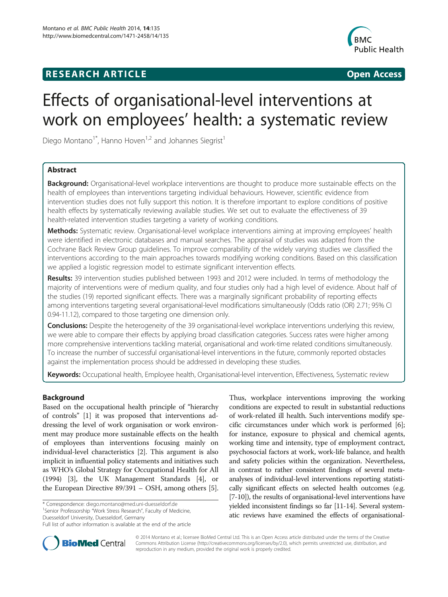# **RESEARCH ARTICLE Example 2014 12:30 The SEAR CHA R TIGGS**



# Effects of organisational-level interventions at work on employees' health: a systematic review

Diego Montano<sup>1\*</sup>, Hanno Hoven<sup>1,2</sup> and Johannes Siegrist<sup>1</sup>

# Abstract

Background: Organisational-level workplace interventions are thought to produce more sustainable effects on the health of employees than interventions targeting individual behaviours. However, scientific evidence from intervention studies does not fully support this notion. It is therefore important to explore conditions of positive health effects by systematically reviewing available studies. We set out to evaluate the effectiveness of 39 health-related intervention studies targeting a variety of working conditions.

Methods: Systematic review. Organisational-level workplace interventions aiming at improving employees' health were identified in electronic databases and manual searches. The appraisal of studies was adapted from the Cochrane Back Review Group guidelines. To improve comparability of the widely varying studies we classified the interventions according to the main approaches towards modifying working conditions. Based on this classification we applied a logistic regression model to estimate significant intervention effects.

Results: 39 intervention studies published between 1993 and 2012 were included. In terms of methodology the majority of interventions were of medium quality, and four studies only had a high level of evidence. About half of the studies (19) reported significant effects. There was a marginally significant probability of reporting effects among interventions targeting several organisational-level modifications simultaneously (Odds ratio (OR) 2.71; 95% CI 0.94-11.12), compared to those targeting one dimension only.

Conclusions: Despite the heterogeneity of the 39 organisational-level workplace interventions underlying this review, we were able to compare their effects by applying broad classification categories. Success rates were higher among more comprehensive interventions tackling material, organisational and work-time related conditions simultaneously. To increase the number of successful organisational-level interventions in the future, commonly reported obstacles against the implementation process should be addressed in developing these studies.

Keywords: Occupational health, Employee health, Organisational-level intervention, Effectiveness, Systematic review

# Background

Based on the occupational health principle of "hierarchy of controls" [[1](#page-6-0)] it was proposed that interventions addressing the level of work organisation or work environment may produce more sustainable effects on the health of employees than interventions focusing mainly on individual-level characteristics [[2](#page-6-0)]. This argument is also implicit in influential policy statements and initiatives such as WHO's Global Strategy for Occupational Health for All (1994) [\[3\]](#page-6-0), the UK Management Standards [\[4\]](#page-6-0), or the European Directive 89/391 – OSH, among others [[5](#page-6-0)].

<sup>1</sup> Senior Professorship "Work Stress Research", Faculty of Medicine, Duesseldorf University, Duesseldorf, Germany

Thus, workplace interventions improving the working conditions are expected to result in substantial reductions of work-related ill health. Such interventions modify specific circumstances under which work is performed [[6](#page-6-0)]; for instance, exposure to physical and chemical agents, working time and intensity, type of employment contract, psychosocial factors at work, work-life balance, and health and safety policies within the organization. Nevertheless, in contrast to rather consistent findings of several metaanalyses of individual-level interventions reporting statistically significant effects on selected health outcomes (e.g. [[7](#page-6-0)[-10](#page-7-0)]), the results of organisational-level interventions have yielded inconsistent findings so far [\[11-14\]](#page-7-0). Several systematic reviews have examined the effects of organisational-



© 2014 Montano et al.; licensee BioMed Central Ltd. This is an Open Access article distributed under the terms of the Creative Commons Attribution License [\(http://creativecommons.org/licenses/by/2.0\)](http://creativecommons.org/licenses/by/2.0), which permits unrestricted use, distribution, and reproduction in any medium, provided the original work is properly credited.

<sup>\*</sup> Correspondence: [diego.montano@med.uni-duesseldorf.de](mailto:diego.montano@med.uni-duesseldorf.de) <sup>1</sup>

Full list of author information is available at the end of the article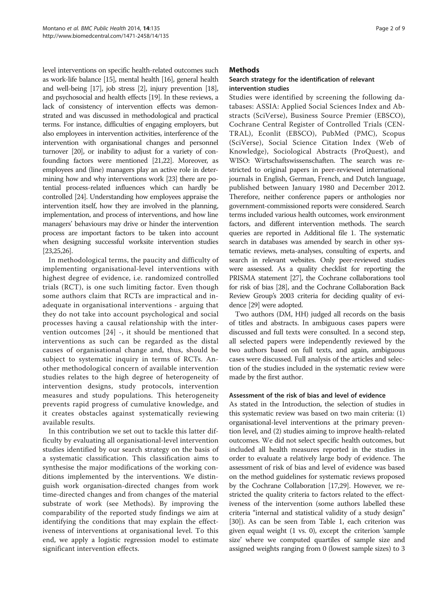<span id="page-1-0"></span>level interventions on specific health-related outcomes such as work-life balance [\[15\]](#page-7-0), mental health [[16](#page-7-0)], general health and well-being [[17](#page-7-0)], job stress [\[2\]](#page-6-0), injury prevention [\[18](#page-7-0)], and psychosocial and health effects [[19](#page-7-0)]. In these reviews, a lack of consistency of intervention effects was demonstrated and was discussed in methodological and practical terms. For instance, difficulties of engaging employers, but also employees in intervention activities, interference of the intervention with organisational changes and personnel turnover [\[20](#page-7-0)], or inability to adjust for a variety of confounding factors were mentioned [\[21,22](#page-7-0)]. Moreover, as employees and (line) managers play an active role in determining how and why interventions work [[23](#page-7-0)] there are potential process-related influences which can hardly be controlled [\[24\]](#page-7-0). Understanding how employees appraise the intervention itself, how they are involved in the planning, implementation, and process of interventions, and how line managers' behaviours may drive or hinder the intervention process are important factors to be taken into account when designing successful worksite intervention studies [[23,25,26\]](#page-7-0).

In methodological terms, the paucity and difficulty of implementing organisational-level interventions with highest degree of evidence, i.e. randomized controlled trials (RCT), is one such limiting factor. Even though some authors claim that RCTs are impractical and inadequate in organisational interventions - arguing that they do not take into account psychological and social processes having a causal relationship with the intervention outcomes [[24\]](#page-7-0) -, it should be mentioned that interventions as such can be regarded as the distal causes of organisational change and, thus, should be subject to systematic inquiry in terms of RCTs. Another methodological concern of available intervention studies relates to the high degree of heterogeneity of intervention designs, study protocols, intervention measures and study populations. This heterogeneity prevents rapid progress of cumulative knowledge, and it creates obstacles against systematically reviewing available results.

In this contribution we set out to tackle this latter difficulty by evaluating all organisational-level intervention studies identified by our search strategy on the basis of a systematic classification. This classification aims to synthesise the major modifications of the working conditions implemented by the interventions. We distinguish work organisation-directed changes from work time-directed changes and from changes of the material substrate of work (see Methods). By improving the comparability of the reported study findings we aim at identifying the conditions that may explain the effectiveness of interventions at organisational level. To this end, we apply a logistic regression model to estimate significant intervention effects.

# Methods

# Search strategy for the identification of relevant intervention studies

Studies were identified by screening the following databases: ASSIA: Applied Social Sciences Index and Abstracts (SciVerse), Business Source Premier (EBSCO), Cochrane Central Register of Controlled Trials (CEN-TRAL), Econlit (EBSCO), PubMed (PMC), Scopus (SciVerse), Social Science Citation Index (Web of Knowledge), Sociological Abstracts (ProQuest), and WISO: Wirtschaftswissenschaften. The search was restricted to original papers in peer-reviewed international journals in English, German, French, and Dutch language, published between January 1980 and December 2012. Therefore, neither conference papers or anthologies nor government-commissioned reports were considered. Search terms included various health outcomes, work environment factors, and different intervention methods. The search queries are reported in Additional file [1](#page-6-0). The systematic search in databases was amended by search in other systematic reviews, meta-analyses, consulting of experts, and search in relevant websites. Only peer-reviewed studies were assessed. As a quality checklist for reporting the PRISMA statement [[27](#page-7-0)], the Cochrane collaborations tool for risk of bias [\[28](#page-7-0)], and the Cochrane Collaboration Back Review Group's 2003 criteria for deciding quality of evidence [\[29\]](#page-7-0) were adopted.

Two authors (DM, HH) judged all records on the basis of titles and abstracts. In ambiguous cases papers were discussed and full texts were consulted. In a second step, all selected papers were independently reviewed by the two authors based on full texts, and again, ambiguous cases were discussed. Full analysis of the articles and selection of the studies included in the systematic review were made by the first author.

#### Assessment of the risk of bias and level of evidence

As stated in the Introduction, the selection of studies in this systematic review was based on two main criteria: (1) organisational-level interventions at the primary prevention level, and (2) studies aiming to improve health-related outcomes. We did not select specific health outcomes, but included all health measures reported in the studies in order to evaluate a relatively large body of evidence. The assessment of risk of bias and level of evidence was based on the method guidelines for systematic reviews proposed by the Cochrane Collaboration [[17,29](#page-7-0)]. However, we restricted the quality criteria to factors related to the effectiveness of the intervention (some authors labelled these criteria "internal and statistical validity of a study design" [[30](#page-7-0)]). As can be seen from Table [1](#page-2-0), each criterion was given equal weight (1 vs. 0), except the criterion 'sample size' where we computed quartiles of sample size and assigned weights ranging from 0 (lowest sample sizes) to 3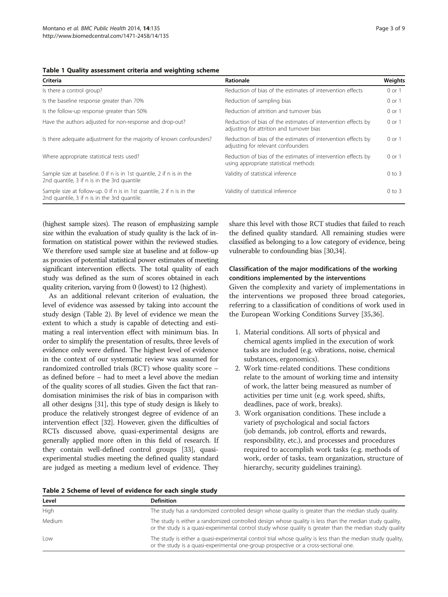<span id="page-2-0"></span>

| Criteria                                                                                                              | Rationale                                                                                                  | Weights    |
|-----------------------------------------------------------------------------------------------------------------------|------------------------------------------------------------------------------------------------------------|------------|
| Is there a control group?                                                                                             | Reduction of bias of the estimates of intervention effects                                                 | $0$ or $1$ |
| Is the baseline response greater than 70%                                                                             | Reduction of sampling bias                                                                                 | 0 or 1     |
| Is the follow-up response greater than 50%                                                                            | Reduction of attrition and turnover bias                                                                   | 0 or 1     |
| Have the authors adjusted for non-response and drop-out?                                                              | Reduction of bias of the estimates of intervention effects by<br>adjusting for attrition and turnover bias | $0$ or $1$ |
| Is there adequate adjustment for the majority of known confounders?                                                   | Reduction of bias of the estimates of intervention effects by<br>adjusting for relevant confounders        | $0$ or $1$ |
| Where appropriate statistical tests used?                                                                             | Reduction of bias of the estimates of intervention effects by<br>using appropriate statistical methods     | 0 or 1     |
| Sample size at baseline. 0 if n is in 1st quantile, 2 if n is in the<br>2nd quantile, 3 if n is in the 3rd quantile   | Validity of statistical inference                                                                          | $0$ to $3$ |
| Sample size at follow-up. 0 if n is in 1st quantile, 2 if n is in the<br>2nd quantile, 3 if n is in the 3rd quantile. | Validity of statistical inference                                                                          | $0$ to $3$ |

(highest sample sizes). The reason of emphasizing sample size within the evaluation of study quality is the lack of information on statistical power within the reviewed studies. We therefore used sample size at baseline and at follow-up as proxies of potential statistical power estimates of meeting significant intervention effects. The total quality of each study was defined as the sum of scores obtained in each quality criterion, varying from 0 (lowest) to 12 (highest).

As an additional relevant criterion of evaluation, the level of evidence was assessed by taking into account the study design (Table 2). By level of evidence we mean the extent to which a study is capable of detecting and estimating a real intervention effect with minimum bias. In order to simplify the presentation of results, three levels of evidence only were defined. The highest level of evidence in the context of our systematic review was assumed for randomized controlled trials (RCT) whose quality score – as defined before – had to meet a level above the median of the quality scores of all studies. Given the fact that randomisation minimises the risk of bias in comparison with all other designs [\[31\]](#page-7-0), this type of study design is likely to produce the relatively strongest degree of evidence of an intervention effect [[32](#page-7-0)]. However, given the difficulties of RCTs discussed above, quasi-experimental designs are generally applied more often in this field of research. If they contain well-defined control groups [[33](#page-7-0)], quasiexperimental studies meeting the defined quality standard are judged as meeting a medium level of evidence. They

share this level with those RCT studies that failed to reach the defined quality standard. All remaining studies were classified as belonging to a low category of evidence, being vulnerable to confounding bias [[30,34](#page-7-0)].

# Classification of the major modifications of the working conditions implemented by the interventions

Given the complexity and variety of implementations in the interventions we proposed three broad categories, referring to a classification of conditions of work used in the European Working Conditions Survey [\[35,36](#page-7-0)].

- 1. Material conditions. All sorts of physical and chemical agents implied in the execution of work tasks are included (e.g. vibrations, noise, chemical substances, ergonomics).
- 2. Work time-related conditions. These conditions relate to the amount of working time and intensity of work, the latter being measured as number of activities per time unit (e.g. work speed, shifts, deadlines, pace of work, breaks).
- 3. Work organisation conditions. These include a variety of psychological and social factors (job demands, job control, efforts and rewards, responsibility, etc.), and processes and procedures required to accomplish work tasks (e.g. methods of work, order of tasks, team organization, structure of hierarchy, security guidelines training).

Table 2 Scheme of level of evidence for each single study

| <b>Definition</b>                                                                                                                                                                                                    |  |  |
|----------------------------------------------------------------------------------------------------------------------------------------------------------------------------------------------------------------------|--|--|
| The study has a randomized controlled design whose quality is greater than the median study quality.                                                                                                                 |  |  |
| The study is either a randomized controlled design whose quality is less than the median study quality,<br>or the study is a quasi-experimental control study whose quality is greater than the median study quality |  |  |
| The study is either a quasi-experimental control trial whose quality is less than the median study quality,<br>or the study is a quasi-experimental one-group prospective or a cross-sectional one.                  |  |  |
|                                                                                                                                                                                                                      |  |  |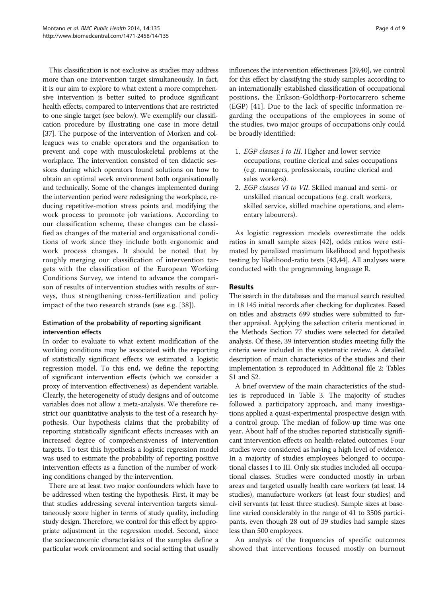This classification is not exclusive as studies may address more than one intervention target simultaneously. In fact, it is our aim to explore to what extent a more comprehensive intervention is better suited to produce significant health effects, compared to interventions that are restricted to one single target (see below). We exemplify our classification procedure by illustrating one case in more detail [[37](#page-7-0)]. The purpose of the intervention of Morken and colleagues was to enable operators and the organisation to prevent and cope with musculoskeletal problems at the workplace. The intervention consisted of ten didactic sessions during which operators found solutions on how to obtain an optimal work environment both organisationally and technically. Some of the changes implemented during the intervention period were redesigning the workplace, reducing repetitive-motion stress points and modifying the work process to promote job variations. According to our classification scheme, these changes can be classified as changes of the material and organisational conditions of work since they include both ergonomic and work process changes. It should be noted that by roughly merging our classification of intervention targets with the classification of the European Working Conditions Survey, we intend to advance the comparison of results of intervention studies with results of surveys, thus strengthening cross-fertilization and policy impact of the two research strands (see e.g. [\[38](#page-7-0)]).

# Estimation of the probability of reporting significant intervention effects

In order to evaluate to what extent modification of the working conditions may be associated with the reporting of statistically significant effects we estimated a logistic regression model. To this end, we define the reporting of significant intervention effects (which we consider a proxy of intervention effectiveness) as dependent variable. Clearly, the heterogeneity of study designs and of outcome variables does not allow a meta-analysis. We therefore restrict our quantitative analysis to the test of a research hypothesis. Our hypothesis claims that the probability of reporting statistically significant effects increases with an increased degree of comprehensiveness of intervention targets. To test this hypothesis a logistic regression model was used to estimate the probability of reporting positive intervention effects as a function of the number of working conditions changed by the intervention.

There are at least two major confounders which have to be addressed when testing the hypothesis. First, it may be that studies addressing several intervention targets simultaneously score higher in terms of study quality, including study design. Therefore, we control for this effect by appropriate adjustment in the regression model. Second, since the socioeconomic characteristics of the samples define a particular work environment and social setting that usually influences the intervention effectiveness [[39,40\]](#page-7-0), we control for this effect by classifying the study samples according to an internationally established classification of occupational positions, the Erikson-Goldthorp-Portocarrero scheme (EGP) [[41\]](#page-7-0). Due to the lack of specific information regarding the occupations of the employees in some of the studies, two major groups of occupations only could be broadly identified:

- 1. EGP classes I to III. Higher and lower service occupations, routine clerical and sales occupations (e.g. managers, professionals, routine clerical and sales workers).
- 2. EGP classes VI to VII. Skilled manual and semi- or unskilled manual occupations (e.g. craft workers, skilled service, skilled machine operations, and elementary labourers).

As logistic regression models overestimate the odds ratios in small sample sizes [\[42\]](#page-7-0), odds ratios were estimated by penalized maximum likelihood and hypothesis testing by likelihood-ratio tests [[43,44\]](#page-7-0). All analyses were conducted with the programming language R.

# Results

The search in the databases and the manual search resulted in 18 145 initial records after checking for duplicates. Based on titles and abstracts 699 studies were submitted to further appraisal. Applying the selection criteria mentioned in the [Methods](#page-1-0) Section 77 studies were selected for detailed analysis. Of these, 39 intervention studies meeting fully the criteria were included in the systematic review. A detailed description of main characteristics of the studies and their implementation is reproduced in Additional file [2:](#page-6-0) Tables S1 and S2.

A brief overview of the main characteristics of the studies is reproduced in Table [3](#page-4-0). The majority of studies followed a participatory approach, and many investigations applied a quasi-experimental prospective design with a control group. The median of follow-up time was one year. About half of the studies reported statistically significant intervention effects on health-related outcomes. Four studies were considered as having a high level of evidence. In a majority of studies employees belonged to occupational classes I to III. Only six studies included all occupational classes. Studies were conducted mostly in urban areas and targeted usually health care workers (at least 14 studies), manufacture workers (at least four studies) and civil servants (at least three studies). Sample sizes at baseline varied considerably in the range of 41 to 3506 participants, even though 28 out of 39 studies had sample sizes less than 500 employees.

An analysis of the frequencies of specific outcomes showed that interventions focused mostly on burnout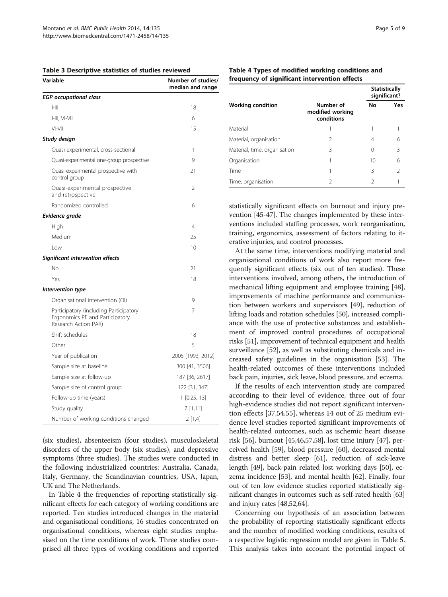<span id="page-4-0"></span>

| Variable                                                                                          | Number of studies/<br>median and range |  |
|---------------------------------------------------------------------------------------------------|----------------------------------------|--|
| <b>EGP</b> occupational class                                                                     |                                        |  |
| $1 - 111$                                                                                         | 18                                     |  |
| I-III, VI-VII                                                                                     | 6                                      |  |
| VI-VII                                                                                            | 15                                     |  |
| Study design                                                                                      |                                        |  |
| Quasi-experimental, cross-sectional                                                               | 1                                      |  |
| Quasi-experimental one-group prospective                                                          | 9                                      |  |
| Quasi-experimental prospective with<br>control group                                              | 21                                     |  |
| Quasi-experimental prospective<br>and retrospective                                               | 2                                      |  |
| Randomized controlled                                                                             | 6                                      |  |
| Evidence grade                                                                                    |                                        |  |
| High                                                                                              | 4                                      |  |
| Medium                                                                                            | 25                                     |  |
| l ow                                                                                              | 10                                     |  |
| Significant intervention effects                                                                  |                                        |  |
| Nο                                                                                                | 21                                     |  |
| Yes                                                                                               | 18                                     |  |
| Intervention type                                                                                 |                                        |  |
| Organisational intervention (OI)                                                                  | 9                                      |  |
| Participatory (including Participatory<br>Ergonomics PE and Participatory<br>Research Action PAR) | 7                                      |  |
| Shift schedules                                                                                   | 18                                     |  |
| Other                                                                                             | 5                                      |  |
| Year of publication                                                                               | 2005 [1993, 2012]                      |  |
| Sample size at baseline                                                                           | 300 [41, 3506]                         |  |
| Sample size at follow-up                                                                          | 187 [36, 2617]                         |  |
| Sample size of control group                                                                      | 122 [31, 347]                          |  |
| Follow-up time (years)                                                                            | $1$ [0.25, 13]                         |  |
| Study quality                                                                                     | 7[1,11]                                |  |
| Number of working conditions changed                                                              | 2[1,4]                                 |  |

(six studies), absenteeism (four studies), musculoskeletal disorders of the upper body (six studies), and depressive symptoms (three studies). The studies were conducted in the following industrialized countries: Australia, Canada, Italy, Germany, the Scandinavian countries, USA, Japan, UK and The Netherlands.

In Table 4 the frequencies of reporting statistically significant effects for each category of working conditions are reported. Ten studies introduced changes in the material and organisational conditions, 16 studies concentrated on organisational conditions, whereas eight studies emphasised on the time conditions of work. Three studies comprised all three types of working conditions and reported

| Table 4 Types of modified working conditions and |  |  |
|--------------------------------------------------|--|--|
| frequency of significant intervention effects    |  |  |

|                              |                                             | <b>Statistically</b><br>significant? |                |
|------------------------------|---------------------------------------------|--------------------------------------|----------------|
| <b>Working condition</b>     | Number of<br>modified working<br>conditions | No                                   | Yes            |
| Material                     |                                             |                                      |                |
| Material, organisation       | $\mathcal{P}$                               | 4                                    | 6              |
| Material, time, organisation | 3                                           | $\Omega$                             | 3              |
| Organisation                 |                                             | 10                                   | 6              |
| Time                         |                                             | 3                                    | $\mathfrak{D}$ |
| Time, organisation           | 2                                           | 2                                    |                |

statistically significant effects on burnout and injury prevention [[45](#page-7-0)-[47](#page-7-0)]. The changes implemented by these interventions included staffing processes, work reorganisation, training, ergonomics, assessment of factors relating to iterative injuries, and control processes.

At the same time, interventions modifying material and organisational conditions of work also report more frequently significant effects (six out of ten studies). These interventions involved, among others, the introduction of mechanical lifting equipment and employee training [[48](#page-7-0)], improvements of machine performance and communication between workers and supervisors [\[49\]](#page-7-0), reduction of lifting loads and rotation schedules [\[50\]](#page-7-0), increased compliance with the use of protective substances and establishment of improved control procedures of occupational risks [[51](#page-7-0)], improvement of technical equipment and health surveillance [\[52\]](#page-7-0), as well as substituting chemicals and increased safety guidelines in the organisation [\[53\]](#page-7-0). The health-related outcomes of these interventions included back pain, injuries, sick leave, blood pressure, and eczema.

If the results of each intervention study are compared according to their level of evidence, three out of four high-evidence studies did not report significant intervention effects [\[37,54,55\]](#page-7-0), whereas 14 out of 25 medium evidence level studies reported significant improvements of health-related outcomes, such as ischemic heart disease risk [[56](#page-8-0)], burnout [[45,46,](#page-7-0)[57,58](#page-8-0)], lost time injury [\[47\]](#page-7-0), perceived health [[59](#page-8-0)], blood pressure [[60](#page-8-0)], decreased mental distress and better sleep [\[61](#page-8-0)], reduction of sick-leave length [[49](#page-7-0)], back-pain related lost working days [[50](#page-7-0)], eczema incidence [\[53](#page-7-0)], and mental health [\[62](#page-8-0)]. Finally, four out of ten low evidence studies reported statistically significant changes in outcomes such as self-rated health [[63](#page-8-0)] and injury rates [[48,52,](#page-7-0)[64\]](#page-8-0).

Concerning our hypothesis of an association between the probability of reporting statistically significant effects and the number of modified working conditions, results of a respective logistic regression model are given in Table [5](#page-5-0). This analysis takes into account the potential impact of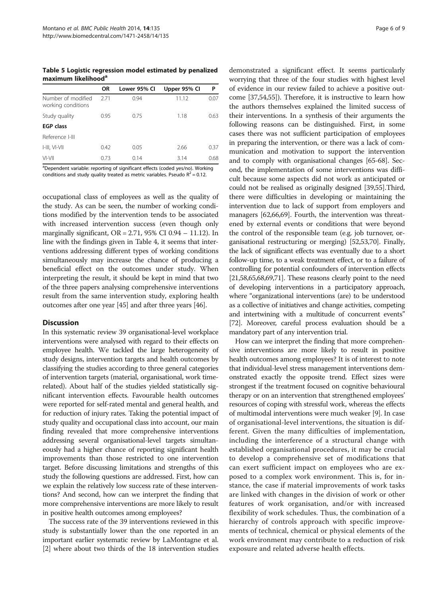<span id="page-5-0"></span>Table 5 Logistic regression model estimated by penalized maximum likelihood<sup>a</sup>

|                                          | OR   | Lower 95% CI | Upper 95% CI | P    |
|------------------------------------------|------|--------------|--------------|------|
| Number of modified<br>working conditions | 271  | 0.94         | 11.12        | 0.07 |
| Study quality                            | 0.95 | 0.75         | 1.18         | 0.63 |
| <b>EGP class</b>                         |      |              |              |      |
| Reference I-III                          |      |              |              |      |
| $I-III, VI-VII$                          | 0.42 | 0.05         | 2.66         | 0.37 |
| VI-VII                                   | 0.73 | 0.14         | 3.14         | 0.68 |

<sup>a</sup>Dependent variable: reporting of significant effects (coded yes/no). Working conditions and study quality treated as metric variables. Pseudo  $R^2 = 0.12$ .

occupational class of employees as well as the quality of the study. As can be seen, the number of working conditions modified by the intervention tends to be associated with increased intervention success (even though only marginally significant, OR = 2.71, 95% CI 0.94 – 11.12). In line with the findings given in Table [4](#page-4-0), it seems that interventions addressing different types of working conditions simultaneously may increase the chance of producing a beneficial effect on the outcomes under study. When interpreting the result, it should be kept in mind that two of the three papers analysing comprehensive interventions result from the same intervention study, exploring health outcomes after one year [\[45\]](#page-7-0) and after three years [\[46](#page-7-0)].

# **Discussion**

In this systematic review 39 organisational-level workplace interventions were analysed with regard to their effects on employee health. We tackled the large heterogeneity of study designs, intervention targets and health outcomes by classifying the studies according to three general categories of intervention targets (material, organisational, work timerelated). About half of the studies yielded statistically significant intervention effects. Favourable health outcomes were reported for self-rated mental and general health, and for reduction of injury rates. Taking the potential impact of study quality and occupational class into account, our main finding revealed that more comprehensive interventions addressing several organisational-level targets simultaneously had a higher chance of reporting significant health improvements than those restricted to one intervention target. Before discussing limitations and strengths of this study the following questions are addressed. First, how can we explain the relatively low success rate of these interventions? And second, how can we interpret the finding that more comprehensive interventions are more likely to result in positive health outcomes among employees?

The success rate of the 39 interventions reviewed in this study is substantially lower than the one reported in an important earlier systematic review by LaMontagne et al. [[2\]](#page-6-0) where about two thirds of the 18 intervention studies

demonstrated a significant effect. It seems particularly worrying that three of the four studies with highest level of evidence in our review failed to achieve a positive outcome [\[37,54,55\]](#page-7-0)). Therefore, it is instructive to learn how the authors themselves explained the limited success of their interventions. In a synthesis of their arguments the following reasons can be distinguished. First, in some cases there was not sufficient participation of employees in preparing the intervention, or there was a lack of communication and motivation to support the intervention and to comply with organisational changes [[65](#page-8-0)-[68](#page-8-0)]. Second, the implementation of some interventions was difficult because some aspects did not work as anticipated or could not be realised as originally designed [\[39,55\]](#page-7-0).Third, there were difficulties in developing or maintaining the intervention due to lack of support from employers and managers [[62,66,69\]](#page-8-0). Fourth, the intervention was threatened by external events or conditions that were beyond the control of the responsible team (e.g. job turnover, organisational restructuring or merging) [\[52,53](#page-7-0)[,70\]](#page-8-0). Finally, the lack of significant effects was eventually due to a short follow-up time, to a weak treatment effect, or to a failure of controlling for potential confounders of intervention effects [[21](#page-7-0)[,58,65,68,69,71](#page-8-0)]. These reasons clearly point to the need of developing interventions in a participatory approach, where "organizational interventions (are) to be understood as a collective of initiatives and change activities, competing and intertwining with a multitude of concurrent events" [[72](#page-8-0)]. Moreover, careful process evaluation should be a mandatory part of any intervention trial.

How can we interpret the finding that more comprehensive interventions are more likely to result in positive health outcomes among employees? It is of interest to note that individual-level stress management interventions demonstrated exactly the opposite trend. Effect sizes were strongest if the treatment focused on cognitive behavioural therapy or on an intervention that strengthened employees' resources of coping with stressful work, whereas the effects of multimodal interventions were much weaker [\[9](#page-7-0)]. In case of organisational-level interventions, the situation is different. Given the many difficulties of implementation, including the interference of a structural change with established organisational procedures, it may be crucial to develop a comprehensive set of modifications that can exert sufficient impact on employees who are exposed to a complex work environment. This is, for instance, the case if material improvements of work tasks are linked with changes in the division of work or other features of work organisation, and/or with increased flexibility of work schedules. Thus, the combination of a hierarchy of controls approach with specific improvements of technical, chemical or physical elements of the work environment may contribute to a reduction of risk exposure and related adverse health effects.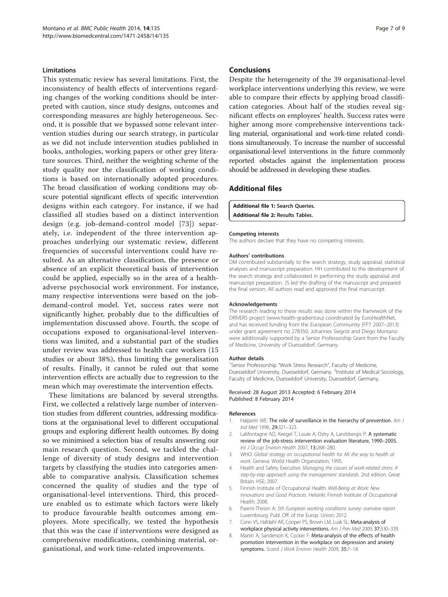#### <span id="page-6-0"></span>**Limitations**

This systematic review has several limitations. First, the inconsistency of health effects of interventions regarding changes of the working conditions should be interpreted with caution, since study designs, outcomes and corresponding measures are highly heterogeneous. Second, it is possible that we bypassed some relevant intervention studies during our search strategy, in particular as we did not include intervention studies published in books, anthologies, working papers or other grey literature sources. Third, neither the weighting scheme of the study quality nor the classification of working conditions is based on internationally adopted procedures. The broad classification of working conditions may obscure potential significant effects of specific intervention designs within each category. For instance, if we had classified all studies based on a distinct intervention design (e.g. job-demand-control model [[73\]](#page-8-0)) separately, i.e. independent of the three intervention approaches underlying our systematic review, different frequencies of successful interventions could have resulted. As an alternative classification, the presence or absence of an explicit theoretical basis of intervention could be applied, especially so in the area of a healthadverse psychosocial work environment. For instance, many respective interventions were based on the jobdemand-control model. Yet, success rates were not significantly higher, probably due to the difficulties of implementation discussed above. Fourth, the scope of occupations exposed to organisational-level interventions was limited, and a substantial part of the studies under review was addressed to health care workers (15 studies or about 38%), thus limiting the generalisation of results. Finally, it cannot be ruled out that some intervention effects are actually due to regression to the mean which may overestimate the intervention effects.

These limitations are balanced by several strengths. First, we collected a relatively large number of intervention studies from different countries, addressing modifications at the organisational level to different occupational groups and exploring different health outcomes. By doing so we minimised a selection bias of results answering our main research question. Second, we tackled the challenge of diversity of study designs and intervention targets by classifying the studies into categories amenable to comparative analysis. Classification schemes concerned the quality of studies and the type of organisational-level interventions. Third, this procedure enabled us to estimate which factors were likely to produce favourable health outcomes among employees. More specifically, we tested the hypothesis that this was the case if interventions were designed as comprehensive modifications, combining material, organisational, and work time-related improvements.

#### Conclusions

Despite the heterogeneity of the 39 organisational-level workplace interventions underlying this review, we were able to compare their effects by applying broad classification categories. About half of the studies reveal significant effects on employees' health. Success rates were higher among more comprehensive interventions tackling material, organisational and work-time related conditions simultaneously. To increase the number of successful organisational-level interventions in the future commonly reported obstacles against the implementation process should be addressed in developing these studies.

#### Additional files

[Additional file 1:](http://www.biomedcentral.com/content/supplementary/1471-2458-14-135-S1.doc) Search Queries. [Additional file 2:](http://www.biomedcentral.com/content/supplementary/1471-2458-14-135-S2.doc) Results Tables.

#### Competing interests

The authors declare that they have no competing interests.

#### Authors' contributions

DM contributed substantially to the search strategy, study appraisal, statistical analyses and manuscript preparation. HH contributed to the development of the search strategy and collaborated in performing the study appraisal and manuscript preparation. JS led the drafting of the manuscript and prepared the final version. All authors read and approved the final manuscript.

#### Acknowledgements

The research leading to these results was done within the framework of the DRIVERS project ([www.health-gradient.eu\)](http://www.health-gradient.eu) coordinated by EuroHealthNet, and has received funding from the European Community (FP7 2007–2013) under grant agreement no 278350. Johannes Siegrist and Diego Montano were additionally supported by a Senior Professorship Grant from the Faculty of Medicine, University of Duesseldorf, Germany.

#### Author details

<sup>1</sup> Senior Professorship "Work Stress Research", Faculty of Medicine, Duesseldorf University, Duesseldorf, Germany. <sup>2</sup>Institute of Medical Sociology Faculty of Medicine, Duesseldorf University, Duesseldorf, Germany.

Received: 28 August 2013 Accepted: 6 February 2014 Published: 8 February 2014

#### References

- Halperin WE: The role of surveillance in the hierarchy of prevention. Am J Ind Med 1996, 29:321–323.
- 2. LaMontagne AD, Keegel T, Louie A, Ostry A, Landsbergis P: A systematic review of the job-stress intervention evaluation literature, 1990–2005. Int J Occup Environ Health 2007, 13:268-280.
- 3. WHO: Global strategy on occupational health for All: the way to health at work. Geneva: World Health Organization; 1995.
- 4. Health and Safety Executive: Managing the causes of work-related stress: A step-by-step approach using the management standards. 2nd edition. Great Britain: HSE; 2007.
- 5. Finnish Institute of Occupational Health: Well-Being at Work: New Innovations and Good Practices. Helsinki: Finnish Institute of Occupational Health; 2008.
- 6. Parent-Thirion A: 5th European working conditions survey: overview report. Luxembourg: Publ. Off. of the Europ. Union; 2012.
- 7. Conn VS, Hafdahl AR, Cooper PS, Brown LM, Lusk SL: Meta-analysis of workplace physical activity interventions. Am J Prev Med 2009, 37:330-339.
- 8. Martin A, Sanderson K, Cocker F: Meta-analysis of the effects of health promotion intervention in the workplace on depression and anxiety symptoms. Scand J Work Environ Health 2009, 35:7-18.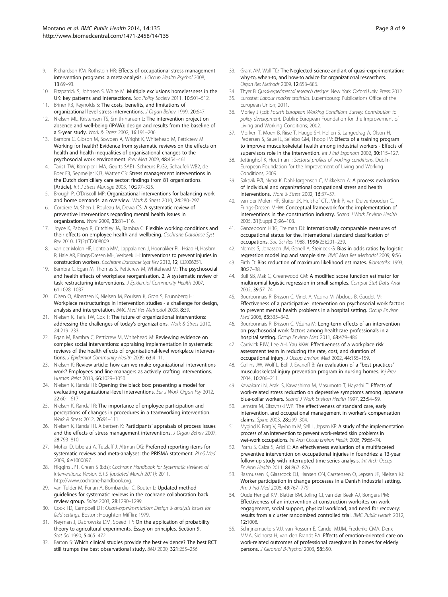- <span id="page-7-0"></span>9. Richardson KM, Rothstein HR: Effects of occupational stress management intervention programs: a meta-analysis. J Occup Health Psychol 2008, 13:69–93.
- 10. Fitzpatrick S, Johnsen S, White M: Multiple exclusions homelessness in the UK: key patterns and intersections. Soc Policy Society 2011, 10:501–512.
- 11. Briner RB, Reynolds S: The costs, benefits, and limitations of organizational level stress interventions. J Organ Behav 1999, 20:647.
- 12. Nielsen ML, Kristensen TS, Smith-hansen L: The intervention project on absence and well-being (IPAW): design and results from the baseline of a 5-year study. Work & Stress 2002, 16:191–206.
- 13. Bambra C, Gibson M, Sowden A, Wright K, Whitehead M, Petticrew M: Working for health? Evidence from systematic reviews on the effects on health and health inequalities of organisational changes to the psychosocial work environment. Prev Med 2009, 48:454–461.
- 14. Taris1 TW, Kompier1 MA, Geurts SAE1, Schreurs PJG2, Schaufeli WB2, de Boer E3, Sepmeijer KJ3, Wattez C3: Stress management interventions in the Dutch domiciliary care sector: findings from 81 organizations. [Article]. Int J Stress Manage 2003, 10:297–325.
- 15. Brough P, O'Driscoll MP: Organizational interventions for balancing work and home demands: an overview. Work & Stress 2010, 24:280–297.
- 16. Corbiere M, Shen J, Rouleau M, Dewa CS: A systematic review of preventive interventions regarding mental health issues in organizations. Work 2009, 33:81–116.
- 17. Joyce K, Pabayo R, Critchley JA, Bambra C: Flexible working conditions and their effects on employee health and wellbeing. Cochrane Database Syst Rev 2010, 17(2):CD008009.
- 18. van der Molen HF, Lehtola MM, Lappalainen J, Hoonakker PL, Hsiao H, Haslam R, Hale AR, Frings-Dresen MH, Verbeek JH: Interventions to prevent injuries in construction workers. Cochrane Database Syst Rev 2012, 12, CD006251.
- 19. Bambra C, Egan M, Thomas S, Petticrew M, Whitehead M: The psychosocial and health effects of workplace reorganisation. 2. A systematic review of task restructuring interventions. J Epidemiol Community Health 2007, 61:1028–1037.
- 20. Olsen O, Albertsen K, Nielsen M, Poulsen K, Gron S, Brunnberg H: Workplace restructurings in intervention studies - a challenge for design, analysis and interpretation. BMC Med Res Methodol 2008, 8:39.
- 21. Nielsen K, Taris TW, Cox T: The future of organizational interventions: addressing the challenges of today's organizations. Work & Stress 2010, 24:219–233.
- 22. Egan M, Bambra C, Petticrew M, Whitehead M: Reviewing evidence on complex social interventions: appraising implementation in systematic reviews of the health effects of organisational-level workplace interventions. J Epidemiol Community Health 2009, 63:4-11.
- 23. Nielsen K: Review article: how can we make organizational interventions work? Employees and line managers as actively crafting interventions. Human Relat 2013, 66:1029–1050.
- 24. Nielsen K, Randall R: Opening the black box: presenting a model for evaluating organizational-level interventions. Eur J Work Organ Psy 2012, 22:601–617.
- 25. Nielsen K, Randall R: The importance of employee participation and perceptions of changes in procedures in a teamworking intervention. Work & Stress 2012, 26:91–111.
- 26. Nielsen K, Randall R, Albertsen K: Participants' appraisals of process issues and the effects of stress management interventions. J Organ Behav 2007, 28:793–810.
- 27. Moher D, Liberati A, Tetzlaff J, Altman DG: Preferred reporting items for systematic reviews and meta-analyses: the PRISMA statement. PLoS Med 2009, 6:e1000097.
- 28. Higgins JPT, Green S (Eds): Cochrane Handbook for Systematic Reviews of Interventions: Version 5.1.0 [updated March 2011]; 2011. [http://www.cochrane-handbook.org.](http://www.cochrane-handbook.org)
- 29. van Tulder M, Furlan A, Bombardier C, Bouter L: Updated method guidelines for systematic reviews in the cochrane collaboration back review group. Spine 2003, 28:1290–1299.
- 30. Cook TD, Campbell DT: Quasi-experimentation: Design & analysis issues for field settings. Boston: Houghton Mifflin; 1979.
- 31. Neyman J, Dabrowska DM, Speed TP: On the application of probability theory to agricultural experiments. Essay on principles. Section 9. Stat Sci 1990, 5:465–472.
- 32. Barton S: Which clinical studies provide the best evidence? The best RCT still trumps the best observational study. BMJ 2000, 321:255–256.
- 33. Grant AM, Wall TD: The Neglected science and art of quasi-experimentation: why-to, when-to, and how-to advice for organizational researchers. Organ Res Methods 2009, 12:653–686.
- 34. Thyer B: Quasi-experimental research designs. New York: Oxford Univ. Press; 2012.
- 35. Eurostat: Labour market statistics. Luxembourg: Publications Office of the European Union; 2011.
- 36. Morley J (Ed): Fourth European Working Conditions Survey: Contribution to policy development. Dublin: European Foundation for the Improvement of Living and Working Conditions; 2002.
- 37. Morken T, Moen B, Riise T, Hauge SH, Holien S, Langedrag A, Olson H, Pedersen S, Saue IL, Seljebo GM, Thoppil V: Effects of a training program to improve musculoskeletal health among industrial workers - Effects of supervisors role in the intervention. Int J Ind Ergonom 2002, 30:115-127.
- 38. Jettinghof K, Houtman I: Sectoral profiles of working conditions. Dublin: European Foundation for the Improvement of Living and Working Conditions; 2009.
- 39. Saksvik PØ, Nytrø K, Dahl-Jørgensen C, Mikkelsen A: A process evaluation of individual and organizational occupational stress and health interventions. Work & Stress 2002, 16:37-57.
- 40. van der Molen HF, Sluiter JK, Hulshof CTJ, Vink P, van Duivenbooden C, Frings-Dresen MHW: Conceptual framework for the implementation of interventions in the construction industry. Scand J Work Environ Health 2005, 31(Suppl 2):96–103.
- 41. Ganzeboom HBG, Treiman DJ: Internationally comparable measures of occupational status for the, international standard classification of occupations. Soc Sci Res 1988, 1996(25):201–239.
- 42. Nemes S, Jonasson JM, Genell A, Steineck G: Bias in odds ratios by logistic regression modelling and sample size. BMC Med Res Methodol 2009, 9:56.
- 43. Firth D: Bias reduction of maximum likelihood estimates. Biometrika 1993, 80:27–38.
- 44. Bull SB, Mak C, Greenwood CM: A modified score function estimator for multinomial logistic regression in small samples. Comput Stat Data Anal 2002, 39:57–74.
- 45. Bourbonnais R, Brisson C, Vinet A, Vezina M, Abdous B, Gaudet M: Effectiveness of a participative intervention on psychosocial work factors to prevent mental health problems in a hospital setting. Occup Environ Med 2006, 63:335-342.
- 46. Bourbonnais R, Brisson C, Vézina M: Long-term effects of an intervention on psychosocial work factors among healthcare professionals in a hospital setting. Occup Environ Med 2011, 68:479–486.
- 47. Carrivick PJW, Lee AH, Yau KKW: Effectiveness of a workplace risk assessment team in reducing the rate, cost, and duration of occupational injury. J Occup Environ Med 2002, 44:155–159.
- 48. Collins JW, Wolf L, Bell J, Evanoff B: An evaluation of a "best practices" musculoskeletal injury prevention program in nursing homes. Inj Prev 2004, 10:206–211.
- 49. Kawakami N, Araki S, Kawashima M, Masumoto T, Hayashi T: Effects of work-related stress reduction on depressive symptoms among Japanese blue-collar workers. Scand J Work Environ Health 1997, 23:54–59.
- 50. Lemstra M, Olszynski WP: The effectiveness of standard care, early intervention, and occupational management in worker's compensation claims. Spine 2003, 28:299–304.
- 51. Mygind K, Borg V, Flyvholm M, Sell L, Jepsen KF: A study of the implementation process of an intervention to prevent work-related skin problems in wet-work occupations. Int Arch Occup Environ Health 2006, 79:66-74.
- 52. Porru S, Calza S, Arici C: An effectiveness evaluation of a multifaceted preventive intervention on occupational injuries in foundries: a 13-year follow-up study with interrupted time series analysis. Int Arch Occup Environ Health 2011, 84:867–876.
- 53. Rasmussen K, Glasscock DJ, Hansen ON, Carstensen O, Jepsen JF, Nielsen KJ: Worker participation in change processes in a Danish industrial setting. Am J Ind Med 2006, 49:767-779.
- 54. Oude Hengel KM, Blatter BM, Joling CI, van der Beek AJ, Bongers PM: Effectiveness of an intervention at construction worksites on work engagement, social support, physical workload, and need for recovery: results from a cluster randomized controlled trial. BMC Public Health 2012, 12:1008.
- 55. Schrijnemaekers VJJ, van Rossum E, Candel MJJM, Frederiks CMA, Derix MMA, Sielhorst H, van den Brandt PA: Effects of emotion-oriented care on work-related outcomes of professional caregivers in homes for elderly persons. J Gerontol B-Psychol 2003, 58:S50.